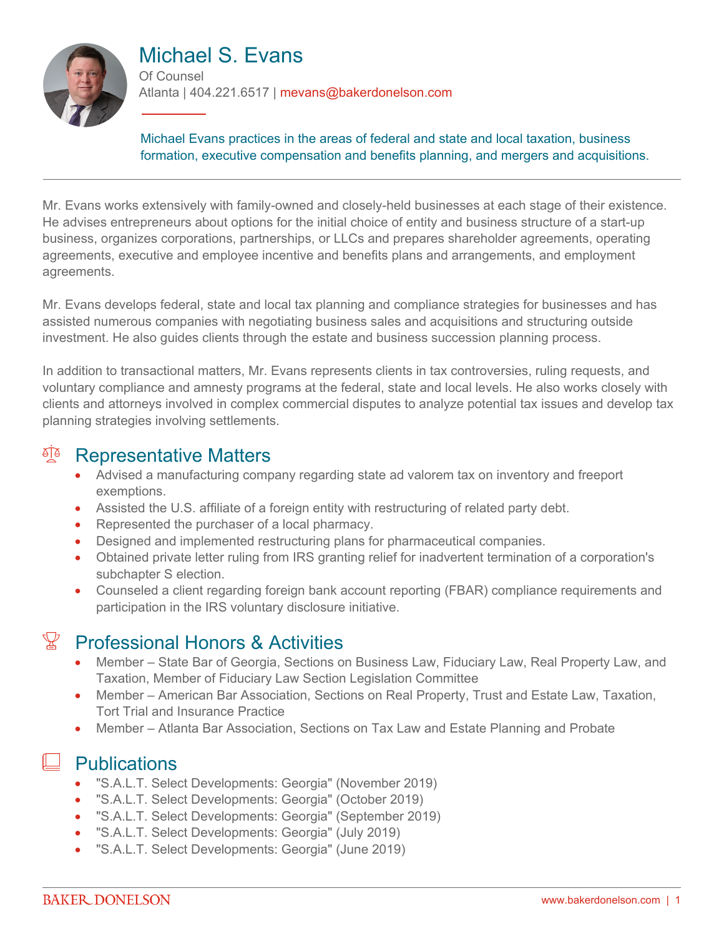

# Michael S. Evans

Of Counsel Atlanta | 404.221.6517 | mevans@bakerdonelson.com

Michael Evans practices in the areas of federal and state and local taxation, business formation, executive compensation and benefits planning, and mergers and acquisitions.

Mr. Evans works extensively with family-owned and closely-held businesses at each stage of their existence. He advises entrepreneurs about options for the initial choice of entity and business structure of a start-up business, organizes corporations, partnerships, or LLCs and prepares shareholder agreements, operating agreements, executive and employee incentive and benefits plans and arrangements, and employment agreements.

Mr. Evans develops federal, state and local tax planning and compliance strategies for businesses and has assisted numerous companies with negotiating business sales and acquisitions and structuring outside investment. He also guides clients through the estate and business succession planning process.

In addition to transactional matters, Mr. Evans represents clients in tax controversies, ruling requests, and voluntary compliance and amnesty programs at the federal, state and local levels. He also works closely with clients and attorneys involved in complex commercial disputes to analyze potential tax issues and develop tax planning strategies involving settlements.

#### <sup>A</sup> Representative Matters

- Advised a manufacturing company regarding state ad valorem tax on inventory and freeport exemptions.
- Assisted the U.S. affiliate of a foreign entity with restructuring of related party debt.
- Represented the purchaser of a local pharmacy.
- Designed and implemented restructuring plans for pharmaceutical companies.
- Obtained private letter ruling from IRS granting relief for inadvertent termination of a corporation's subchapter S election.
- Counseled a client regarding foreign bank account reporting (FBAR) compliance requirements and participation in the IRS voluntary disclosure initiative.

# $\mathbb{Y}$  Professional Honors & Activities

- Member State Bar of Georgia, Sections on Business Law, Fiduciary Law, Real Property Law, and Taxation, Member of Fiduciary Law Section Legislation Committee
- Member American Bar Association, Sections on Real Property, Trust and Estate Law, Taxation, Tort Trial and Insurance Practice
- Member Atlanta Bar Association, Sections on Tax Law and Estate Planning and Probate

### **Publications**

- "S.A.L.T. Select Developments: Georgia" (November 2019)
- "S.A.L.T. Select Developments: Georgia" (October 2019)
- "S.A.L.T. Select Developments: Georgia" (September 2019)
- "S.A.L.T. Select Developments: Georgia" (July 2019)
- "S.A.L.T. Select Developments: Georgia" (June 2019)